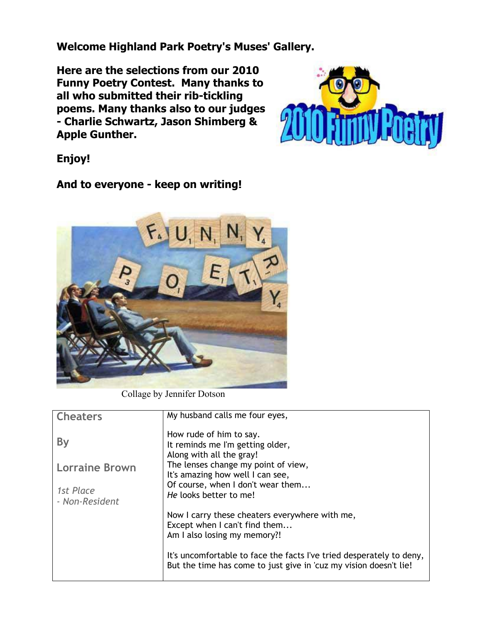**Welcome Highland Park Poetry's Muses' Gallery.**

**Here are the selections from our 2010 Funny Poetry Contest. Many thanks to all who submitted their rib-tickling poems. Many thanks also to our judges - Charlie Schwartz, Jason Shimberg & Apple Gunther.** 



**Enjoy!** 

**And to everyone - keep on writing!**



Collage by Jennifer Dotson

| <b>Cheaters</b>       | My husband calls me four eyes,                                                                                                            |
|-----------------------|-------------------------------------------------------------------------------------------------------------------------------------------|
|                       |                                                                                                                                           |
| By                    | How rude of him to say.<br>It reminds me I'm getting older,<br>Along with all the gray!                                                   |
|                       |                                                                                                                                           |
| <b>Lorraine Brown</b> | The lenses change my point of view,                                                                                                       |
|                       | It's amazing how well I can see,                                                                                                          |
|                       | Of course, when I don't wear them                                                                                                         |
| 1st Place             |                                                                                                                                           |
| - Non-Resident        | He looks better to me!                                                                                                                    |
|                       | Now I carry these cheaters everywhere with me,                                                                                            |
|                       |                                                                                                                                           |
|                       | Except when I can't find them                                                                                                             |
|                       | Am I also losing my memory?!                                                                                                              |
|                       |                                                                                                                                           |
|                       | It's uncomfortable to face the facts I've tried desperately to deny,<br>But the time has come to just give in 'cuz my vision doesn't lie! |
|                       |                                                                                                                                           |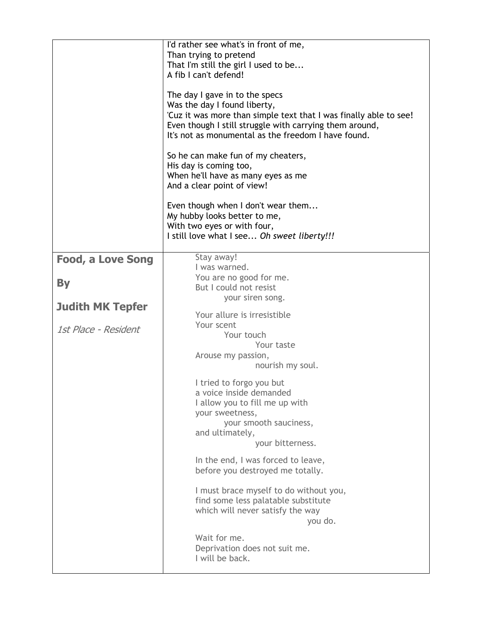|                          | I'd rather see what's in front of me,<br>Than trying to pretend<br>That I'm still the girl I used to be<br>A fib I can't defend!<br>The day I gave in to the specs<br>Was the day I found liberty,<br>'Cuz it was more than simple text that I was finally able to see!<br>Even though I still struggle with carrying them around,<br>It's not as monumental as the freedom I have found.<br>So he can make fun of my cheaters,<br>His day is coming too,<br>When he'll have as many eyes as me<br>And a clear point of view!<br>Even though when I don't wear them<br>My hubby looks better to me,<br>With two eyes or with four,<br>I still love what I see Oh sweet liberty!!! |
|--------------------------|-----------------------------------------------------------------------------------------------------------------------------------------------------------------------------------------------------------------------------------------------------------------------------------------------------------------------------------------------------------------------------------------------------------------------------------------------------------------------------------------------------------------------------------------------------------------------------------------------------------------------------------------------------------------------------------|
| <b>Food, a Love Song</b> | Stay away!                                                                                                                                                                                                                                                                                                                                                                                                                                                                                                                                                                                                                                                                        |
| <b>By</b>                | I was warned.<br>You are no good for me.<br>But I could not resist<br>your siren song.                                                                                                                                                                                                                                                                                                                                                                                                                                                                                                                                                                                            |
| <b>Judith MK Tepfer</b>  | Your allure is irresistible                                                                                                                                                                                                                                                                                                                                                                                                                                                                                                                                                                                                                                                       |
| 1st Place - Resident     | Your scent<br>Your touch<br>Your taste<br>Arouse my passion,<br>nourish my soul.                                                                                                                                                                                                                                                                                                                                                                                                                                                                                                                                                                                                  |
|                          | I tried to forgo you but<br>a voice inside demanded<br>I allow you to fill me up with<br>your sweetness,<br>your smooth sauciness,<br>and ultimately,<br>your bitterness.                                                                                                                                                                                                                                                                                                                                                                                                                                                                                                         |
|                          | In the end, I was forced to leave,<br>before you destroyed me totally.                                                                                                                                                                                                                                                                                                                                                                                                                                                                                                                                                                                                            |
|                          | I must brace myself to do without you,<br>find some less palatable substitute<br>which will never satisfy the way<br>you do.                                                                                                                                                                                                                                                                                                                                                                                                                                                                                                                                                      |
|                          | Wait for me.<br>Deprivation does not suit me.<br>I will be back.                                                                                                                                                                                                                                                                                                                                                                                                                                                                                                                                                                                                                  |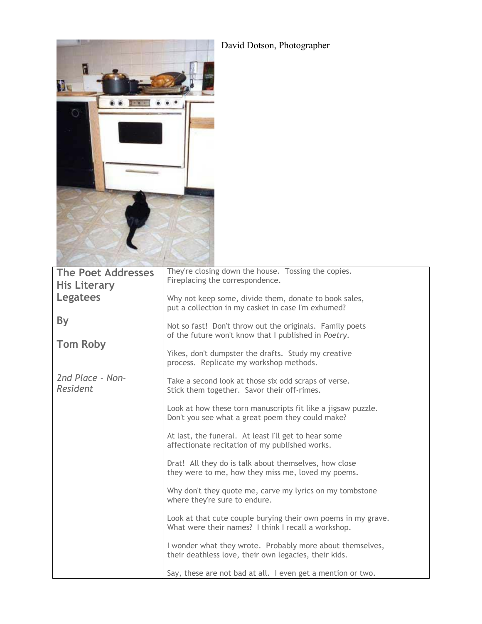| David Dotson, Photographer<br>ſ۱<br><b>EAC</b><br>O |                                                                                                                      |
|-----------------------------------------------------|----------------------------------------------------------------------------------------------------------------------|
| <b>The Poet Addresses</b><br><b>His Literary</b>    | They're closing down the house. Tossing the copies.<br>Fireplacing the correspondence.                               |
| Legatees                                            | Why not keep some, divide them, donate to book sales,<br>put a collection in my casket in case I'm exhumed?          |
| By<br><b>Tom Roby</b>                               | Not so fast! Don't throw out the originals. Family poets<br>of the future won't know that I published in Poetry.     |
|                                                     | Yikes, don't dumpster the drafts. Study my creative<br>process. Replicate my workshop methods.                       |
| 2nd Place - Non-<br>Resident                        | Take a second look at those six odd scraps of verse.<br>Stick them together. Savor their off-rimes.                  |
|                                                     | Look at how these torn manuscripts fit like a jigsaw puzzle.<br>Don't you see what a great poem they could make?     |
|                                                     | At last, the funeral. At least I'll get to hear some<br>affectionate recitation of my published works.               |
|                                                     | Drat! All they do is talk about themselves, how close<br>they were to me, how they miss me, loved my poems.          |
|                                                     | Why don't they quote me, carve my lyrics on my tombstone<br>where they're sure to endure.                            |
|                                                     | Look at that cute couple burying their own poems in my grave.<br>What were their names? I think I recall a workshop. |
|                                                     | I wonder what they wrote. Probably more about themselves,<br>their deathless love, their own legacies, their kids.   |
|                                                     | Say, these are not bad at all. I even get a mention or two.                                                          |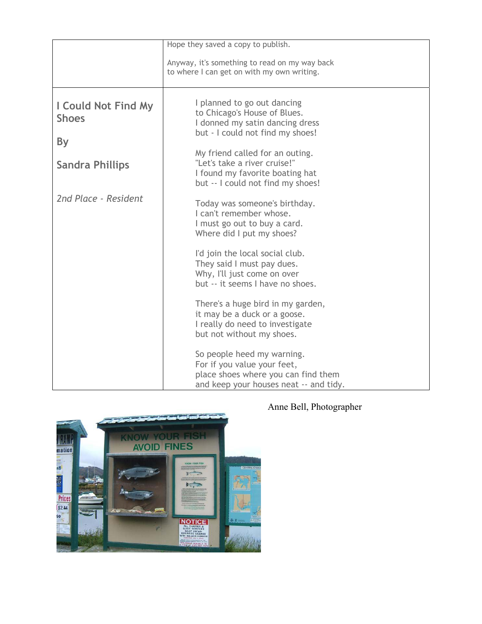|                                            | Hope they saved a copy to publish.                                                                                                         |
|--------------------------------------------|--------------------------------------------------------------------------------------------------------------------------------------------|
|                                            | Anyway, it's something to read on my way back<br>to where I can get on with my own writing.                                                |
| <b>I Could Not Find My</b><br><b>Shoes</b> | I planned to go out dancing<br>to Chicago's House of Blues.<br>I donned my satin dancing dress<br>but - I could not find my shoes!         |
| By                                         |                                                                                                                                            |
| <b>Sandra Phillips</b>                     | My friend called for an outing.<br>"Let's take a river cruise!"<br>I found my favorite boating hat<br>but -- I could not find my shoes!    |
| 2nd Place - Resident                       | Today was someone's birthday.<br>I can't remember whose.<br>I must go out to buy a card.<br>Where did I put my shoes?                      |
|                                            | I'd join the local social club.<br>They said I must pay dues.<br>Why, I'll just come on over<br>but -- it seems I have no shoes.           |
|                                            | There's a huge bird in my garden,<br>it may be a duck or a goose.<br>I really do need to investigate<br>but not without my shoes.          |
|                                            | So people heed my warning.<br>For if you value your feet,<br>place shoes where you can find them<br>and keep your houses neat -- and tidy. |



## Anne Bell, Photographer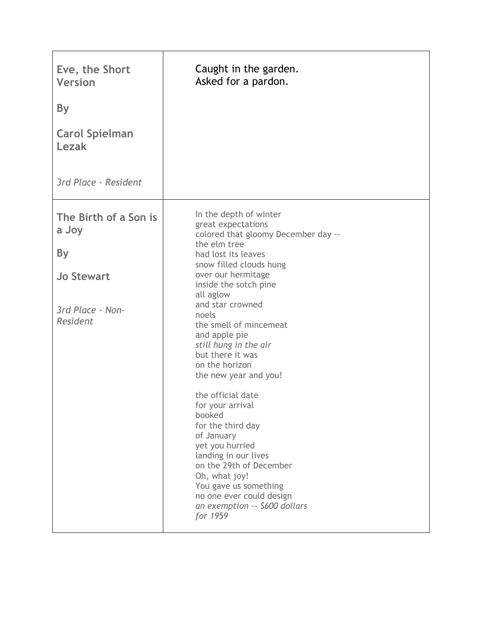| Eve, the Short<br><b>Version</b><br><b>By</b><br><b>Carol Spielman</b><br>Lezak<br>3rd Place - Resident | Caught in the garden.<br>Asked for a pardon.                                                                                                                                                                                                                                                                                                                                                                                                                                                                                                                                                                                                                     |
|---------------------------------------------------------------------------------------------------------|------------------------------------------------------------------------------------------------------------------------------------------------------------------------------------------------------------------------------------------------------------------------------------------------------------------------------------------------------------------------------------------------------------------------------------------------------------------------------------------------------------------------------------------------------------------------------------------------------------------------------------------------------------------|
| The Birth of a Son is<br>a Joy<br><b>By</b><br><b>Jo Stewart</b><br>3rd Place - Non-<br>Resident        | In the depth of winter<br>great expectations<br>colored that gloomy December day --<br>the elm tree<br>had lost its leaves<br>snow filled clouds hung<br>over our hermitage<br>inside the sotch pine<br>all aglow<br>and star crowned<br>noels<br>the smell of mincemeat<br>and apple pie<br>still hung in the air<br>but there it was<br>on the horizon<br>the new year and you!<br>the official date<br>for your arrival<br>booked<br>for the third day<br>of January<br>yet you hurried<br>landing in our lives<br>on the 29th of December<br>Oh, what joy!<br>You gave us something<br>no one ever could design<br>an exemption -- \$600 dollars<br>for 1959 |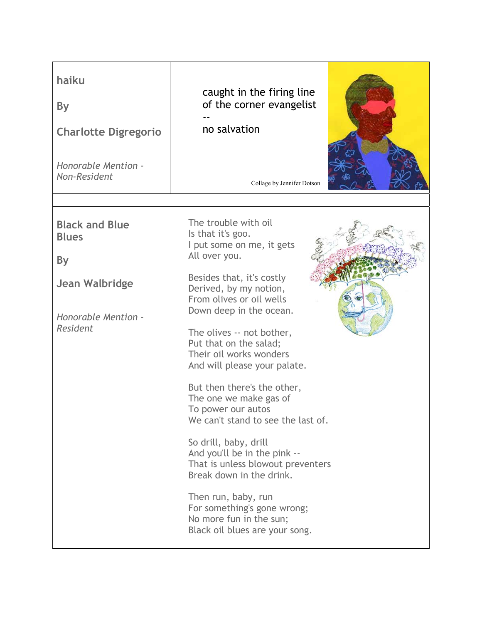| haiku<br><b>By</b><br><b>Charlotte Digregorio</b><br>Honorable Mention -<br>Non-Resident                              | caught in the firing line<br>of the corner evangelist<br>no salvation<br>Collage by Jennifer Dotson                                                                                                                                                                                                                                                                                                                                                                                                                                                                                                                                                                                       |
|-----------------------------------------------------------------------------------------------------------------------|-------------------------------------------------------------------------------------------------------------------------------------------------------------------------------------------------------------------------------------------------------------------------------------------------------------------------------------------------------------------------------------------------------------------------------------------------------------------------------------------------------------------------------------------------------------------------------------------------------------------------------------------------------------------------------------------|
| <b>Black and Blue</b><br><b>Blues</b><br><b>By</b><br><b>Jean Walbridge</b><br>Honorable Mention -<br><b>Resident</b> | The trouble with oil<br>Is that it's goo.<br>I put some on me, it gets<br>All over you.<br>Besides that, it's costly<br>Derived, by my notion,<br>From olives or oil wells<br>Down deep in the ocean.<br>The olives -- not bother,<br>Put that on the salad;<br>Their oil works wonders<br>And will please your palate.<br>But then there's the other,<br>The one we make gas of<br>To power our autos<br>We can't stand to see the last of.<br>So drill, baby, drill<br>And you'll be in the pink --<br>That is unless blowout preventers<br>Break down in the drink.<br>Then run, baby, run<br>For something's gone wrong;<br>No more fun in the sun;<br>Black oil blues are your song. |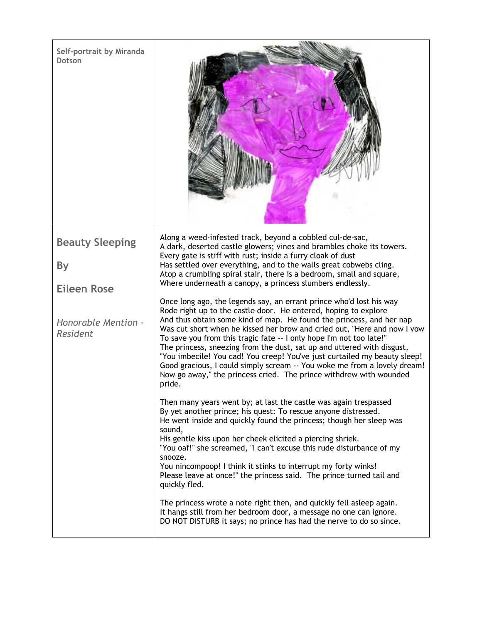| Self-portrait by Miranda<br>Dotson |                                                                                                                                                                                                                                                                                                                                                                                                                                                                                                                                                                                                                                                                                      |
|------------------------------------|--------------------------------------------------------------------------------------------------------------------------------------------------------------------------------------------------------------------------------------------------------------------------------------------------------------------------------------------------------------------------------------------------------------------------------------------------------------------------------------------------------------------------------------------------------------------------------------------------------------------------------------------------------------------------------------|
| <b>Beauty Sleeping</b>             | Along a weed-infested track, beyond a cobbled cul-de-sac,<br>A dark, deserted castle glowers; vines and brambles choke its towers.                                                                                                                                                                                                                                                                                                                                                                                                                                                                                                                                                   |
| By                                 | Every gate is stiff with rust; inside a furry cloak of dust<br>Has settled over everything, and to the walls great cobwebs cling.                                                                                                                                                                                                                                                                                                                                                                                                                                                                                                                                                    |
| <b>Eileen Rose</b>                 | Atop a crumbling spiral stair, there is a bedroom, small and square,<br>Where underneath a canopy, a princess slumbers endlessly.                                                                                                                                                                                                                                                                                                                                                                                                                                                                                                                                                    |
| Honorable Mention -<br>Resident    | Once long ago, the legends say, an errant prince who'd lost his way<br>Rode right up to the castle door. He entered, hoping to explore<br>And thus obtain some kind of map. He found the princess, and her nap<br>Was cut short when he kissed her brow and cried out, "Here and now I vow<br>To save you from this tragic fate -- I only hope I'm not too late!"<br>The princess, sneezing from the dust, sat up and uttered with disgust,<br>"You imbecile! You cad! You creep! You've just curtailed my beauty sleep!<br>Good gracious, I could simply scream -- You woke me from a lovely dream!<br>Now go away," the princess cried. The prince withdrew with wounded<br>pride. |
|                                    | Then many years went by; at last the castle was again trespassed<br>By yet another prince; his quest: To rescue anyone distressed.<br>He went inside and quickly found the princess; though her sleep was<br>sound,<br>His gentle kiss upon her cheek elicited a piercing shriek.<br>"You oaf!" she screamed, "I can't excuse this rude disturbance of my<br>snooze.<br>You nincompoop! I think it stinks to interrupt my forty winks!<br>Please leave at once!" the princess said. The prince turned tail and<br>quickly fled.                                                                                                                                                      |
|                                    | The princess wrote a note right then, and quickly fell asleep again.<br>It hangs still from her bedroom door, a message no one can ignore.<br>DO NOT DISTURB it says; no prince has had the nerve to do so since.                                                                                                                                                                                                                                                                                                                                                                                                                                                                    |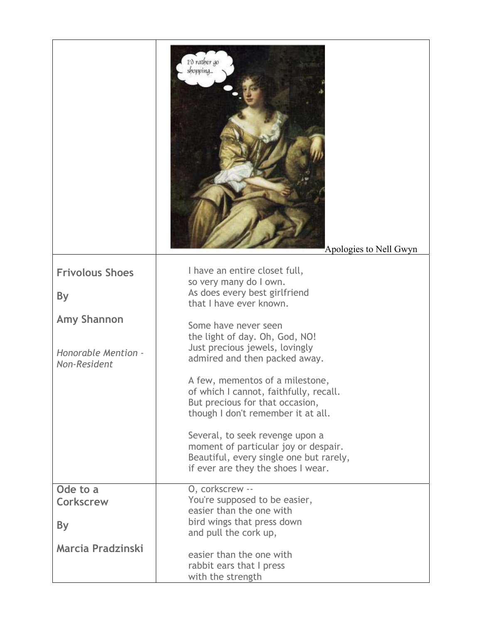|                                     | I'd rather go<br>shopping<br>Apologies to Nell Gwyn                                                                                                      |
|-------------------------------------|----------------------------------------------------------------------------------------------------------------------------------------------------------|
| <b>Frivolous Shoes</b>              | I have an entire closet full,<br>so very many do I own.                                                                                                  |
| <b>By</b>                           | As does every best girlfriend<br>that I have ever known.                                                                                                 |
| <b>Amy Shannon</b>                  | Some have never seen<br>the light of day. Oh, God, NO!                                                                                                   |
| Honorable Mention -<br>Non-Resident | Just precious jewels, lovingly<br>admired and then packed away.                                                                                          |
|                                     | A few, mementos of a milestone,<br>of which I cannot, faithfully, recall.<br>But precious for that occasion,<br>though I don't remember it at all.       |
|                                     | Several, to seek revenge upon a<br>moment of particular joy or despair.<br>Beautiful, every single one but rarely,<br>if ever are they the shoes I wear. |
| Ode to a                            | O, corkscrew --<br>You're supposed to be easier,                                                                                                         |
| <b>Corkscrew</b>                    | easier than the one with                                                                                                                                 |
| By                                  | bird wings that press down<br>and pull the cork up,                                                                                                      |
| <b>Marcia Pradzinski</b>            | easier than the one with<br>rabbit ears that I press<br>with the strength                                                                                |